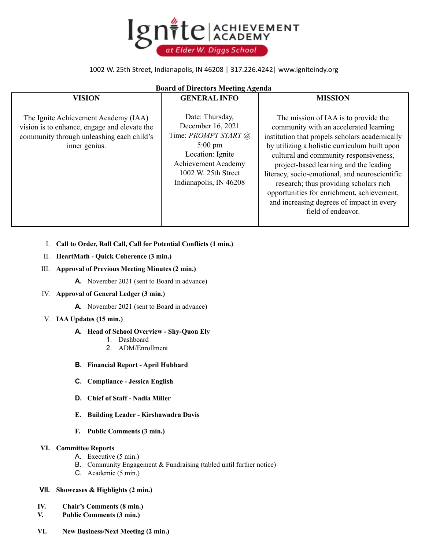

1002 W. 25th Street, Indianapolis, IN 46208 | 317.226.4242| www.igniteindy.org

| <b>Board of Directors Meeting Agenda</b>                                                                                                           |                                                                                                                                                                               |                                                                                                                                                                                                                                                                                                                                                                                                                                                                                    |
|----------------------------------------------------------------------------------------------------------------------------------------------------|-------------------------------------------------------------------------------------------------------------------------------------------------------------------------------|------------------------------------------------------------------------------------------------------------------------------------------------------------------------------------------------------------------------------------------------------------------------------------------------------------------------------------------------------------------------------------------------------------------------------------------------------------------------------------|
| <b>VISION</b>                                                                                                                                      | <b>GENERAL INFO</b>                                                                                                                                                           | <b>MISSION</b>                                                                                                                                                                                                                                                                                                                                                                                                                                                                     |
| The Ignite Achievement Academy (IAA)<br>vision is to enhance, engage and elevate the<br>community through unleashing each child's<br>inner genius. | Date: Thursday,<br>December 16, 2021<br>Time: PROMPT START @<br>$5:00 \text{ pm}$<br>Location: Ignite<br>Achievement Academy<br>1002 W. 25th Street<br>Indianapolis, IN 46208 | The mission of IAA is to provide the<br>community with an accelerated learning<br>institution that propels scholars academically<br>by utilizing a holistic curriculum built upon<br>cultural and community responsiveness,<br>project-based learning and the leading<br>literacy, socio-emotional, and neuroscientific<br>research; thus providing scholars rich<br>opportunities for enrichment, achievement,<br>and increasing degrees of impact in every<br>field of endeavor. |

- I. **Call to Order, Roll Call, Call for Potential Conflicts (1 min.)**
- II. **HeartMath - Quick Coherence (3 min.)**
- III. **Approval of Previous Meeting Minutes (2 min.)**
	- **A.** November 2021 (sent to Board in advance)
- IV. **Approval of General Ledger (3 min.)**
	- **A.** November 2021 (sent to Board in advance)
- V. **IAA Updates (15 min.)**
	- **A. Head of School Overview - Shy-Quon Ely**
		- 1. Dashboard
		- 2. ADM/Enrollment
	- **B. Financial Report - April Hubbard**
	- **C. Compliance - Jessica English**
	- **D. Chief of Staff - Nadia Miller**
	- **E. Building Leader - Kirshawndra Davis**
	- **F. Public Comments (3 min.)**

## **VI. Committee Reports**

- A. Executive (5 min.)
- B. Community Engagement & Fundraising (tabled until further notice)
- C. Academic (5 min.)
- **VII. Showcases & Highlights (2 min.)**
- **IV. Chair's Comments (8 min.)**
- **V. Public Comments (3 min.)**
- **VI. New Business/Next Meeting (2 min.)**